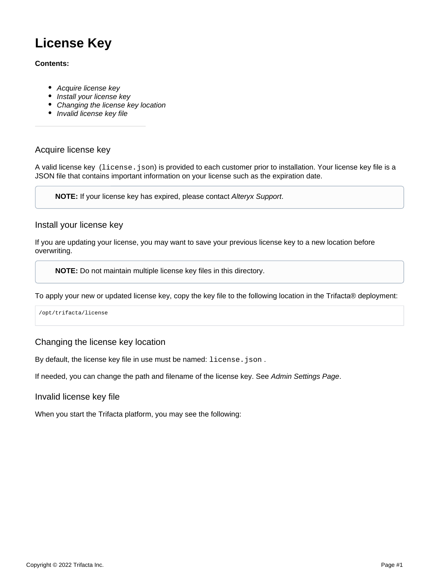# **License Key**

#### **Contents:**

- [Acquire license key](#page-0-0)
- [Install your license key](#page-0-1)
- [Changing the license key location](#page-0-2)
- [Invalid license key file](#page-0-3)

### <span id="page-0-0"></span>Acquire license key

A valid license key (license.json) is provided to each customer prior to installation. Your license key file is a JSON file that contains important information on your license such as the expiration date.

**NOTE:** If your license key has expired, please contact [Alteryx Support](https://docs.trifacta.com/display/HOME/Contact+Support).

## <span id="page-0-1"></span>Install your license key

If you are updating your license, you may want to save your previous license key to a new location before overwriting.

**NOTE:** Do not maintain multiple license key files in this directory.

To apply your new or updated license key, copy the key file to the following location in the Trifacta® deployment:

/opt/trifacta/license

#### <span id="page-0-2"></span>Changing the license key location

By default, the license key file in use must be named: license.json.

If needed, you can change the path and filename of the license key. See [Admin Settings Page](https://docs.trifacta.com/display/r050/Admin+Settings+Page).

<span id="page-0-3"></span>Invalid license key file

When you start the Trifacta platform, you may see the following: